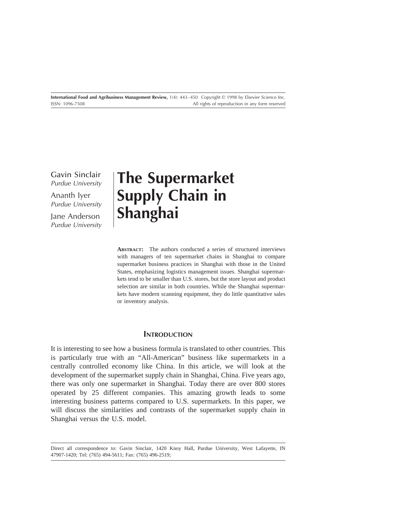**International Food and Agribusiness Management Review,** 1(4): 443–450 Copyright © 1998 by Elsevier Science Inc. ISSN: 1096-7508 All rights of reproduction in any form reserved

Gavin Sinclair Purdue University

Ananth Iyer Purdue University

Jane Anderson Purdue University

# **The Supermarket Supply Chain in Shanghai**

**ABSTRACT:** The authors conducted a series of structured interviews with managers of ten supermarket chains in Shanghai to compare supermarket business practices in Shanghai with those in the United States, emphasizing logistics management issues. Shanghai supermarkets tend to be smaller than U.S. stores, but the store layout and product selection are similar in both countries. While the Shanghai supermarkets have modern scanning equipment, they do little quantitative sales or inventory analysis.

## **INTRODUCTION**

It is interesting to see how a business formula is translated to other countries. This is particularly true with an "All-American" business like supermarkets in a centrally controlled economy like China. In this article, we will look at the development of the supermarket supply chain in Shanghai, China. Five years ago, there was only one supermarket in Shanghai. Today there are over 800 stores operated by 25 different companies. This amazing growth leads to some interesting business patterns compared to U.S. supermarkets. In this paper, we will discuss the similarities and contrasts of the supermarket supply chain in Shanghai versus the U.S. model.

Direct all correspondence to: Gavin Sinclair, 1420 Knoy Hall, Purdue University, West Lafayette, IN 47907-1420; Tel: (765) 494-5611; Fax: (765) 496-2519;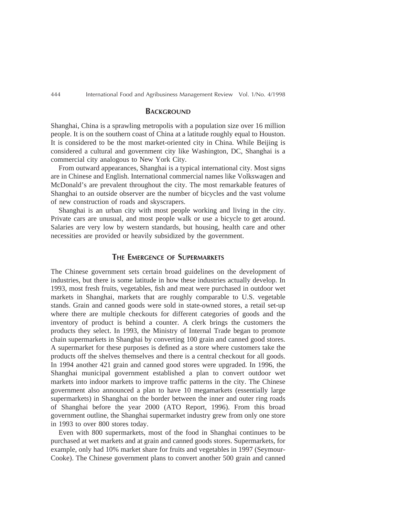#### **BACKGROUND**

Shanghai, China is a sprawling metropolis with a population size over 16 million people. It is on the southern coast of China at a latitude roughly equal to Houston. It is considered to be the most market-oriented city in China. While Beijing is considered a cultural and government city like Washington, DC, Shanghai is a commercial city analogous to New York City.

From outward appearances, Shanghai is a typical international city. Most signs are in Chinese and English. International commercial names like Volkswagen and McDonald's are prevalent throughout the city. The most remarkable features of Shanghai to an outside observer are the number of bicycles and the vast volume of new construction of roads and skyscrapers.

Shanghai is an urban city with most people working and living in the city. Private cars are unusual, and most people walk or use a bicycle to get around. Salaries are very low by western standards, but housing, health care and other necessities are provided or heavily subsidized by the government.

# **THE EMERGENCE OF SUPERMARKETS**

The Chinese government sets certain broad guidelines on the development of industries, but there is some latitude in how these industries actually develop. In 1993, most fresh fruits, vegetables, fish and meat were purchased in outdoor wet markets in Shanghai, markets that are roughly comparable to U.S. vegetable stands. Grain and canned goods were sold in state-owned stores, a retail set-up where there are multiple checkouts for different categories of goods and the inventory of product is behind a counter. A clerk brings the customers the products they select. In 1993, the Ministry of Internal Trade began to promote chain supermarkets in Shanghai by converting 100 grain and canned good stores. A supermarket for these purposes is defined as a store where customers take the products off the shelves themselves and there is a central checkout for all goods. In 1994 another 421 grain and canned good stores were upgraded. In 1996, the Shanghai municipal government established a plan to convert outdoor wet markets into indoor markets to improve traffic patterns in the city. The Chinese government also announced a plan to have 10 megamarkets (essentially large supermarkets) in Shanghai on the border between the inner and outer ring roads of Shanghai before the year 2000 (ATO Report, 1996). From this broad government outline, the Shanghai supermarket industry grew from only one store in 1993 to over 800 stores today.

Even with 800 supermarkets, most of the food in Shanghai continues to be purchased at wet markets and at grain and canned goods stores. Supermarkets, for example, only had 10% market share for fruits and vegetables in 1997 (Seymour-Cooke). The Chinese government plans to convert another 500 grain and canned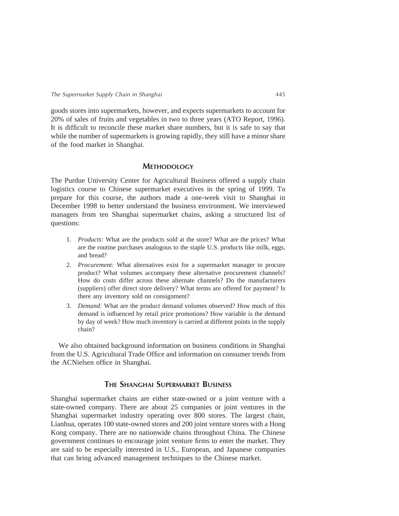goods stores into supermarkets, however, and expects supermarkets to account for 20% of sales of fruits and vegetables in two to three years (ATO Report, 1996). It is difficult to reconcile these market share numbers, but it is safe to say that while the number of supermarkets is growing rapidly, they still have a minor share of the food market in Shanghai.

# **METHODOLOGY**

The Purdue University Center for Agricultural Business offered a supply chain logistics course to Chinese supermarket executives in the spring of 1999. To prepare for this course, the authors made a one-week visit to Shanghai in December 1998 to better understand the business environment. We interviewed managers from ten Shanghai supermarket chains, asking a structured list of questions:

- 1. *Products:* What are the products sold at the store? What are the prices? What are the routine purchases analogous to the staple U.S. products like milk, eggs, and bread?
- 2. *Procurement:* What alternatives exist for a supermarket manager to procure product? What volumes accompany these alternative procurement channels? How do costs differ across these alternate channels? Do the manufacturers (suppliers) offer direct store delivery? What terms are offered for payment? Is there any inventory sold on consignment?
- 3. *Demand:* What are the product demand volumes observed? How much of this demand is influenced by retail price promotions? How variable is the demand by day of week? How much inventory is carried at different points in the supply chain?

We also obtained background information on business conditions in Shanghai from the U.S. Agricultural Trade Office and information on consumer trends from the ACNielsen office in Shanghai.

# **THE SHANGHAI SUPERMARKET BUSINESS**

Shanghai supermarket chains are either state-owned or a joint venture with a state-owned company. There are about 25 companies or joint ventures in the Shanghai supermarket industry operating over 800 stores. The largest chain, Lianhua, operates 100 state-owned stores and 200 joint venture stores with a Hong Kong company. There are no nationwide chains throughout China. The Chinese government continues to encourage joint venture firms to enter the market. They are said to be especially interested in U.S., European, and Japanese companies that can bring advanced management techniques to the Chinese market.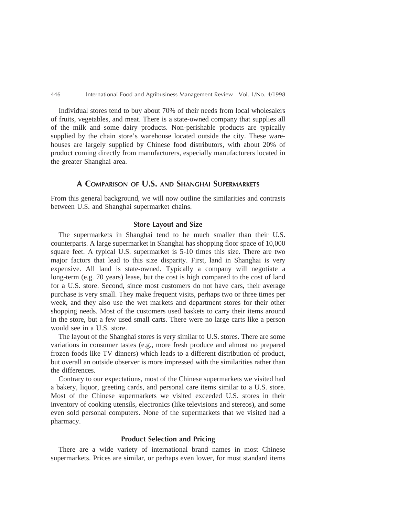Individual stores tend to buy about 70% of their needs from local wholesalers of fruits, vegetables, and meat. There is a state-owned company that supplies all of the milk and some dairy products. Non-perishable products are typically supplied by the chain store's warehouse located outside the city. These warehouses are largely supplied by Chinese food distributors, with about 20% of product coming directly from manufacturers, especially manufacturers located in the greater Shanghai area.

# **A COMPARISON OF U.S. AND SHANGHAI SUPERMARKETS**

From this general background, we will now outline the similarities and contrasts between U.S. and Shanghai supermarket chains.

#### **Store Layout and Size**

The supermarkets in Shanghai tend to be much smaller than their U.S. counterparts. A large supermarket in Shanghai has shopping floor space of 10,000 square feet. A typical U.S. supermarket is 5-10 times this size. There are two major factors that lead to this size disparity. First, land in Shanghai is very expensive. All land is state-owned. Typically a company will negotiate a long-term (e.g. 70 years) lease, but the cost is high compared to the cost of land for a U.S. store. Second, since most customers do not have cars, their average purchase is very small. They make frequent visits, perhaps two or three times per week, and they also use the wet markets and department stores for their other shopping needs. Most of the customers used baskets to carry their items around in the store, but a few used small carts. There were no large carts like a person would see in a U.S. store.

The layout of the Shanghai stores is very similar to U.S. stores. There are some variations in consumer tastes (e.g., more fresh produce and almost no prepared frozen foods like TV dinners) which leads to a different distribution of product, but overall an outside observer is more impressed with the similarities rather than the differences.

Contrary to our expectations, most of the Chinese supermarkets we visited had a bakery, liquor, greeting cards, and personal care items similar to a U.S. store. Most of the Chinese supermarkets we visited exceeded U.S. stores in their inventory of cooking utensils, electronics (like televisions and stereos), and some even sold personal computers. None of the supermarkets that we visited had a pharmacy.

## **Product Selection and Pricing**

There are a wide variety of international brand names in most Chinese supermarkets. Prices are similar, or perhaps even lower, for most standard items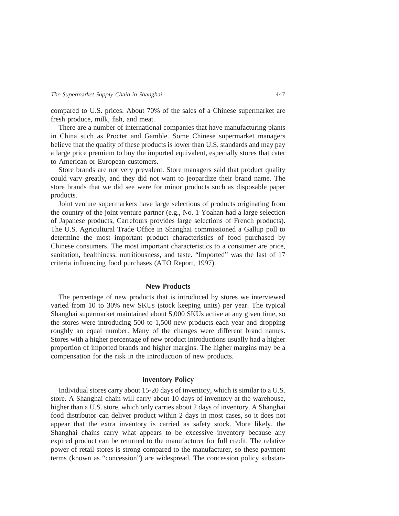compared to U.S. prices. About 70% of the sales of a Chinese supermarket are fresh produce, milk, fish, and meat.

There are a number of international companies that have manufacturing plants in China such as Procter and Gamble. Some Chinese supermarket managers believe that the quality of these products is lower than U.S. standards and may pay a large price premium to buy the imported equivalent, especially stores that cater to American or European customers.

Store brands are not very prevalent. Store managers said that product quality could vary greatly, and they did not want to jeopardize their brand name. The store brands that we did see were for minor products such as disposable paper products.

Joint venture supermarkets have large selections of products originating from the country of the joint venture partner (e.g., No. 1 Yoahan had a large selection of Japanese products, Carrefours provides large selections of French products). The U.S. Agricultural Trade Office in Shanghai commissioned a Gallup poll to determine the most important product characteristics of food purchased by Chinese consumers. The most important characteristics to a consumer are price, sanitation, healthiness, nutritiousness, and taste. "Imported" was the last of 17 criteria influencing food purchases (ATO Report, 1997).

#### **New Products**

The percentage of new products that is introduced by stores we interviewed varied from 10 to 30% new SKUs (stock keeping units) per year. The typical Shanghai supermarket maintained about 5,000 SKUs active at any given time, so the stores were introducing 500 to 1,500 new products each year and dropping roughly an equal number. Many of the changes were different brand names. Stores with a higher percentage of new product introductions usually had a higher proportion of imported brands and higher margins. The higher margins may be a compensation for the risk in the introduction of new products.

## **Inventory Policy**

Individual stores carry about 15-20 days of inventory, which is similar to a U.S. store. A Shanghai chain will carry about 10 days of inventory at the warehouse, higher than a U.S. store, which only carries about 2 days of inventory. A Shanghai food distributor can deliver product within 2 days in most cases, so it does not appear that the extra inventory is carried as safety stock. More likely, the Shanghai chains carry what appears to be excessive inventory because any expired product can be returned to the manufacturer for full credit. The relative power of retail stores is strong compared to the manufacturer, so these payment terms (known as "concession") are widespread. The concession policy substan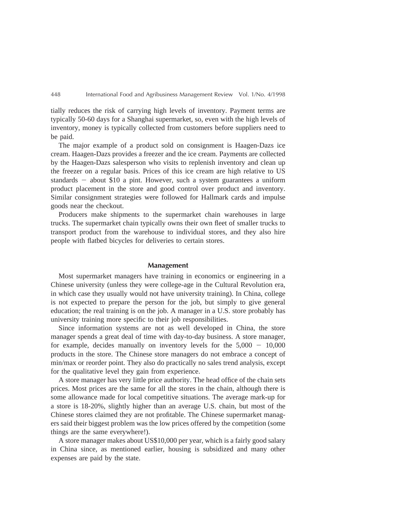tially reduces the risk of carrying high levels of inventory. Payment terms are typically 50-60 days for a Shanghai supermarket, so, even with the high levels of inventory, money is typically collected from customers before suppliers need to be paid.

The major example of a product sold on consignment is Haagen-Dazs ice cream. Haagen-Dazs provides a freezer and the ice cream. Payments are collected by the Haagen-Dazs salesperson who visits to replenish inventory and clean up the freezer on a regular basis. Prices of this ice cream are high relative to US standards  $-$  about \$10 a pint. However, such a system guarantees a uniform product placement in the store and good control over product and inventory. Similar consignment strategies were followed for Hallmark cards and impulse goods near the checkout.

Producers make shipments to the supermarket chain warehouses in large trucks. The supermarket chain typically owns their own fleet of smaller trucks to transport product from the warehouse to individual stores, and they also hire people with flatbed bicycles for deliveries to certain stores.

## **Management**

Most supermarket managers have training in economics or engineering in a Chinese university (unless they were college-age in the Cultural Revolution era, in which case they usually would not have university training). In China, college is not expected to prepare the person for the job, but simply to give general education; the real training is on the job. A manager in a U.S. store probably has university training more specific to their job responsibilities.

Since information systems are not as well developed in China, the store manager spends a great deal of time with day-to-day business. A store manager, for example, decides manually on inventory levels for the  $5,000 - 10,000$ products in the store. The Chinese store managers do not embrace a concept of min/max or reorder point. They also do practically no sales trend analysis, except for the qualitative level they gain from experience.

A store manager has very little price authority. The head office of the chain sets prices. Most prices are the same for all the stores in the chain, although there is some allowance made for local competitive situations. The average mark-up for a store is 18-20%, slightly higher than an average U.S. chain, but most of the Chinese stores claimed they are not profitable. The Chinese supermarket managers said their biggest problem was the low prices offered by the competition (some things are the same everywhere!).

A store manager makes about US\$10,000 per year, which is a fairly good salary in China since, as mentioned earlier, housing is subsidized and many other expenses are paid by the state.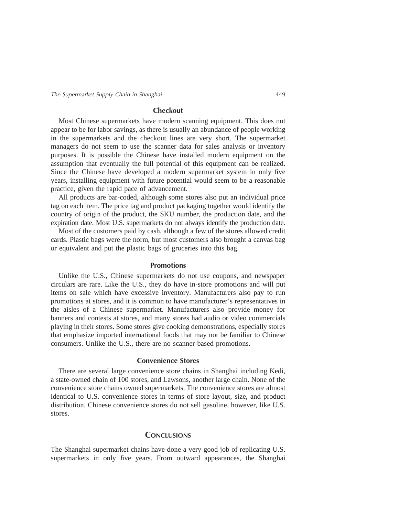## **Checkout**

Most Chinese supermarkets have modern scanning equipment. This does not appear to be for labor savings, as there is usually an abundance of people working in the supermarkets and the checkout lines are very short. The supermarket managers do not seem to use the scanner data for sales analysis or inventory purposes. It is possible the Chinese have installed modern equipment on the assumption that eventually the full potential of this equipment can be realized. Since the Chinese have developed a modern supermarket system in only five years, installing equipment with future potential would seem to be a reasonable practice, given the rapid pace of advancement.

All products are bar-coded, although some stores also put an individual price tag on each item. The price tag and product packaging together would identify the country of origin of the product, the SKU number, the production date, and the expiration date. Most U.S. supermarkets do not always identify the production date.

Most of the customers paid by cash, although a few of the stores allowed credit cards. Plastic bags were the norm, but most customers also brought a canvas bag or equivalent and put the plastic bags of groceries into this bag.

## **Promotions**

Unlike the U.S., Chinese supermarkets do not use coupons, and newspaper circulars are rare. Like the U.S., they do have in-store promotions and will put items on sale which have excessive inventory. Manufacturers also pay to run promotions at stores, and it is common to have manufacturer's representatives in the aisles of a Chinese supermarket. Manufacturers also provide money for banners and contests at stores, and many stores had audio or video commercials playing in their stores. Some stores give cooking demonstrations, especially stores that emphasize imported international foods that may not be familiar to Chinese consumers. Unlike the U.S., there are no scanner-based promotions.

# **Convenience Stores**

There are several large convenience store chains in Shanghai including Kedi, a state-owned chain of 100 stores, and Lawsons, another large chain. None of the convenience store chains owned supermarkets. The convenience stores are almost identical to U.S. convenience stores in terms of store layout, size, and product distribution. Chinese convenience stores do not sell gasoline, however, like U.S. stores.

## **CONCLUSIONS**

The Shanghai supermarket chains have done a very good job of replicating U.S. supermarkets in only five years. From outward appearances, the Shanghai